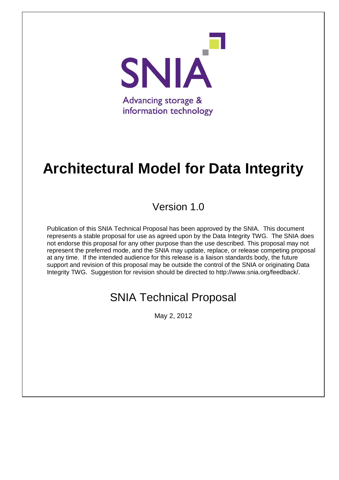

# **Architectural Model for Data Integrity**

## Version 1.0

Publication of this SNIA Technical Proposal has been approved by the SNIA. This document represents a stable proposal for use as agreed upon by the Data Integrity TWG. The SNIA does not endorse this proposal for any other purpose than the use described. This proposal may not represent the preferred mode, and the SNIA may update, replace, or release competing proposal at any time. If the intended audience for this release is a liaison standards body, the future support and revision of this proposal may be outside the control of the SNIA or originating Data Integrity TWG. Suggestion for revision should be directed to http://www.snia.org/feedback/.

## SNIA Technical Proposal

May 2, 2012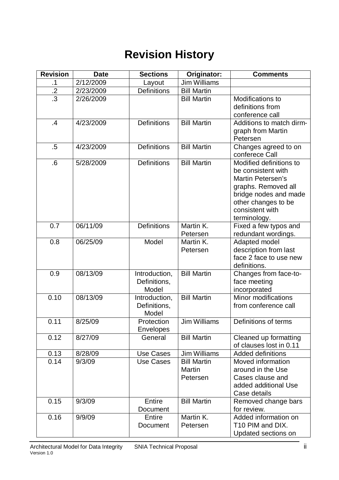## **Revision History**

| <b>Revision</b> | <b>Date</b> | <b>Sections</b>                        | Originator:                              | <b>Comments</b>                                                                                                                                                                     |
|-----------------|-------------|----------------------------------------|------------------------------------------|-------------------------------------------------------------------------------------------------------------------------------------------------------------------------------------|
| $\cdot$         | 2/12/2009   | Layout                                 | <b>Jim Williams</b>                      |                                                                                                                                                                                     |
| $\cdot$         | 2/23/2009   | <b>Definitions</b>                     | <b>Bill Martin</b>                       |                                                                                                                                                                                     |
| $\overline{.3}$ | 2/26/2009   |                                        | <b>Bill Martin</b>                       | Modifications to<br>definitions from<br>conference call                                                                                                                             |
| .4              | 4/23/2009   | <b>Definitions</b>                     | <b>Bill Martin</b>                       | Additions to match dirm-<br>graph from Martin<br>Petersen                                                                                                                           |
| $.5\,$          | 4/23/2009   | <b>Definitions</b>                     | <b>Bill Martin</b>                       | Changes agreed to on<br>conferece Call                                                                                                                                              |
| .6              | 5/28/2009   | <b>Definitions</b>                     | <b>Bill Martin</b>                       | Modified definitions to<br>be consistent with<br><b>Martin Petersen's</b><br>graphs. Removed all<br>bridge nodes and made<br>other changes to be<br>consistent with<br>terminology. |
| 0.7             | 06/11/09    | <b>Definitions</b>                     | Martin K.<br>Petersen                    | Fixed a few typos and<br>redundant wordings.                                                                                                                                        |
| 0.8             | 06/25/09    | Model                                  | Martin K.<br>Petersen                    | Adapted model<br>description from last<br>face 2 face to use new<br>definitions.                                                                                                    |
| 0.9             | 08/13/09    | Introduction,<br>Definitions,<br>Model | <b>Bill Martin</b>                       | Changes from face-to-<br>face meeting<br>incorporated                                                                                                                               |
| 0.10            | 08/13/09    | Introduction,<br>Definitions,<br>Model | <b>Bill Martin</b>                       | Minor modifications<br>from conference call                                                                                                                                         |
| 0.11            | 8/25/09     | Protection<br><b>Envelopes</b>         | <b>Jim Williams</b>                      | Definitions of terms                                                                                                                                                                |
| 0.12            | 8/27/09     | General                                | <b>Bill Martin</b>                       | Cleaned up formatting<br>of clauses lost in 0.11                                                                                                                                    |
| 0.13            | 8/28/09     | <b>Use Cases</b>                       | <b>Jim Williams</b>                      | <b>Added definitions</b>                                                                                                                                                            |
| 0.14            | 9/3/09      | <b>Use Cases</b>                       | <b>Bill Martin</b><br>Martin<br>Petersen | Moved information<br>around in the Use<br>Cases clause and<br>added additional Use<br>Case details                                                                                  |
| 0.15            | 9/3/09      | Entire<br>Document                     | <b>Bill Martin</b>                       | Removed change bars<br>for review.                                                                                                                                                  |
| 0.16            | 9/9/09      | Entire<br>Document                     | Martin K.<br>Petersen                    | Added information on<br>T10 PIM and DIX.<br>Updated sections on                                                                                                                     |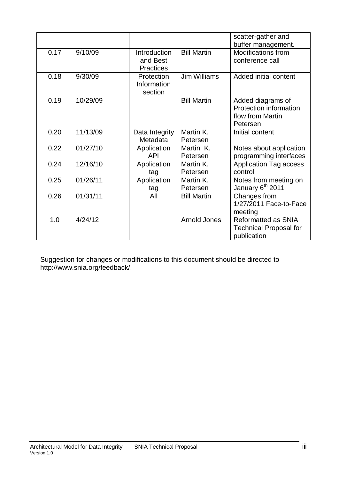|      |          |                  |                     | scatter-gather and            |
|------|----------|------------------|---------------------|-------------------------------|
|      |          |                  |                     | buffer management.            |
| 0.17 | 9/10/09  | Introduction     | <b>Bill Martin</b>  | <b>Modifications from</b>     |
|      |          | and Best         |                     | conference call               |
|      |          | <b>Practices</b> |                     |                               |
| 0.18 | 9/30/09  | Protection       | Jim Williams        | Added initial content         |
|      |          | Information      |                     |                               |
|      |          | section          |                     |                               |
| 0.19 | 10/29/09 |                  | <b>Bill Martin</b>  | Added diagrams of             |
|      |          |                  |                     | Protection information        |
|      |          |                  |                     | flow from Martin              |
|      |          |                  |                     | Petersen                      |
| 0.20 | 11/13/09 | Data Integrity   | Martin K.           | Initial content               |
|      |          | Metadata         | Petersen            |                               |
| 0.22 | 01/27/10 | Application      | Martin K.           | Notes about application       |
|      |          | <b>API</b>       | Petersen            | programming interfaces        |
| 0.24 | 12/16/10 | Application      | Martin K.           | <b>Application Tag access</b> |
|      |          | tag              | Petersen            | control                       |
| 0.25 | 01/26/11 | Application      | Martin K.           | Notes from meeting on         |
|      |          | tag              | Petersen            | January 6 <sup>th</sup> 2011  |
| 0.26 | 01/31/11 | All              | <b>Bill Martin</b>  | Changes from                  |
|      |          |                  |                     | 1/27/2011 Face-to-Face        |
|      |          |                  |                     | meeting                       |
| 1.0  | 4/24/12  |                  | <b>Arnold Jones</b> | Reformatted as SNIA           |
|      |          |                  |                     | <b>Technical Proposal for</b> |
|      |          |                  |                     | publication                   |
|      |          |                  |                     |                               |

Suggestion for changes or modifications to this document should be directed to http://www.snia.org/feedback/.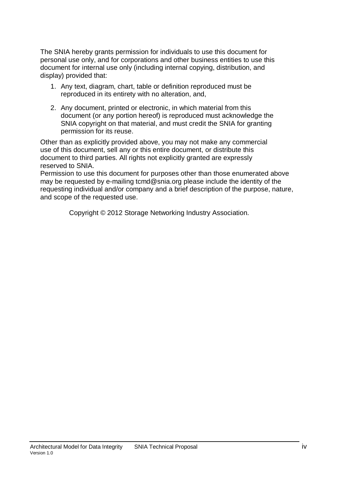The SNIA hereby grants permission for individuals to use this document for personal use only, and for corporations and other business entities to use this document for internal use only (including internal copying, distribution, and display) provided that:

- 1. Any text, diagram, chart, table or definition reproduced must be reproduced in its entirety with no alteration, and,
- 2. Any document, printed or electronic, in which material from this document (or any portion hereof) is reproduced must acknowledge the SNIA copyright on that material, and must credit the SNIA for granting permission for its reuse.

Other than as explicitly provided above, you may not make any commercial use of this document, sell any or this entire document, or distribute this document to third parties. All rights not explicitly granted are expressly reserved to SNIA.

Permission to use this document for purposes other than those enumerated above may be requested by e-mailing tcmd@snia.org please include the identity of the requesting individual and/or company and a brief description of the purpose, nature, and scope of the requested use.

Copyright © 2012 Storage Networking Industry Association.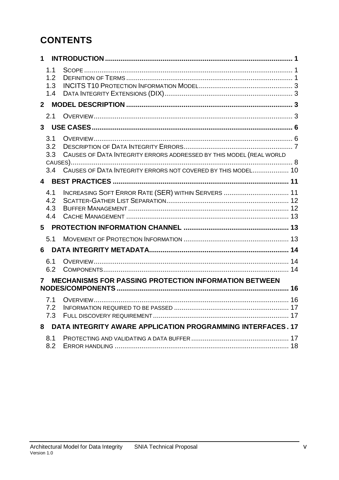## **CONTENTS**

| $\mathbf 1$              |                                                                                                                                     |  |
|--------------------------|-------------------------------------------------------------------------------------------------------------------------------------|--|
| 1.1<br>1.2<br>1.3<br>1.4 |                                                                                                                                     |  |
| $\mathbf{2}$             |                                                                                                                                     |  |
| 2.1                      |                                                                                                                                     |  |
|                          |                                                                                                                                     |  |
| 3.1<br>3.2<br>3.3<br>3.4 | CAUSES OF DATA INTEGRITY ERRORS ADDRESSED BY THIS MODEL (REAL WORLD<br>CAUSES OF DATA INTEGRITY ERRORS NOT COVERED BY THIS MODEL 10 |  |
|                          |                                                                                                                                     |  |
| 4.1<br>4.2<br>4.3<br>4.4 | INCREASING SOFT ERROR RATE (SER) WITHIN SERVERS  11                                                                                 |  |
|                          |                                                                                                                                     |  |
| 5.1                      |                                                                                                                                     |  |
| 6 -                      |                                                                                                                                     |  |
| 6.1<br>6.2               |                                                                                                                                     |  |
| 7                        | <b>MECHANISMS FOR PASSING PROTECTION INFORMATION BETWEEN</b>                                                                        |  |
| 7.1<br>7.2<br>7.3        |                                                                                                                                     |  |
|                          | 8 DATA INTEGRITY AWARE APPLICATION PROGRAMMING INTERFACES. 17                                                                       |  |
| 8.1<br>8.2               |                                                                                                                                     |  |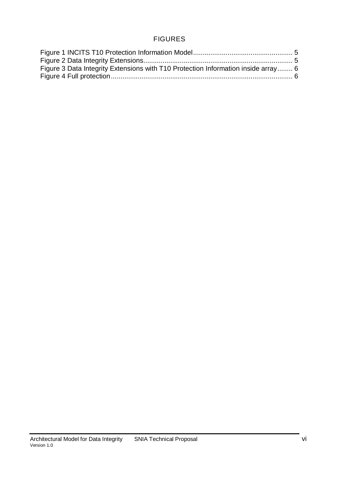#### FIGURES

| Figure 3 Data Integrity Extensions with T10 Protection Information inside array 6 |  |
|-----------------------------------------------------------------------------------|--|
|                                                                                   |  |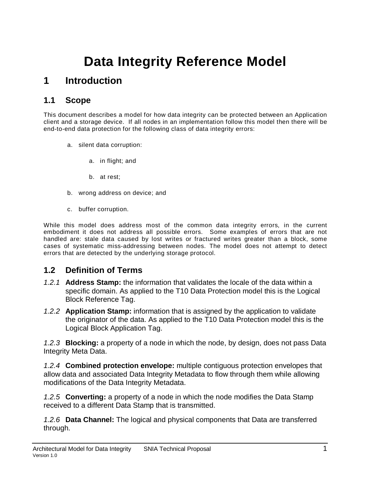## **Data Integrity Reference Model**

## **1 Introduction**

#### <span id="page-6-0"></span>**1.1 Scope**

<span id="page-6-1"></span>This document describes a model for how data integrity can be protected between an Application client and a storage device. If all nodes in an implementation follow this model then there will be end-to-end data protection for the following class of data integrity errors:

- a. silent data corruption:
	- a. in flight; and
	- b. at rest;
- b. wrong address on device; and
- c. buffer corruption.

While this model does address most of the common data integrity errors, in the current embodiment it does not address all possible errors. Some examples of errors that are not handled are: stale data caused by lost writes or fractured writes greater than a block, some cases of systematic miss-addressing between nodes. The model does not attempt to detect errors that are detected by the underlying storage protocol.

#### **1.2 Definition of Terms**

- <span id="page-6-2"></span>*1.2.1* **Address Stamp:** the information that validates the locale of the data within a specific domain. As applied to the T10 Data Protection model this is the Logical Block Reference Tag.
- *1.2.2* **Application Stamp:** information that is assigned by the application to validate the originator of the data. As applied to the T10 Data Protection model this is the Logical Block Application Tag.

*1.2.3* **Blocking:** a property of a node in which the node, by design, does not pass Data Integrity Meta Data.

*1.2.4* **Combined protection envelope:** multiple contiguous protection envelopes that allow data and associated Data Integrity Metadata to flow through them while allowing modifications of the Data Integrity Metadata.

*1.2.5* **Converting:** a property of a node in which the node modifies the Data Stamp received to a different Data Stamp that is transmitted.

*1.2.6* **Data Channel:** The logical and physical components that Data are transferred through.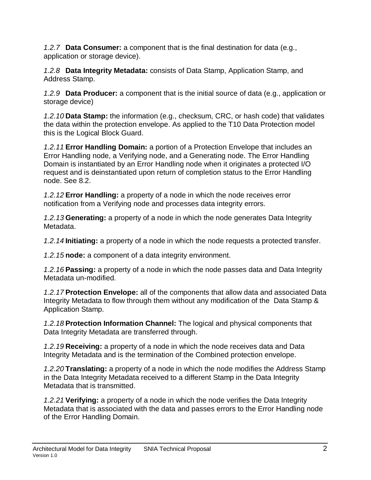*1.2.7* **Data Consumer:** a component that is the final destination for data (e.g., application or storage device).

*1.2.8* **Data Integrity Metadata:** consists of Data Stamp, Application Stamp, and Address Stamp.

*1.2.9* **Data Producer:** a component that is the initial source of data (e.g., application or storage device)

*1.2.10* **Data Stamp:** the information (e.g., checksum, CRC, or hash code) that validates the data within the protection envelope. As applied to the T10 Data Protection model this is the Logical Block Guard.

*1.2.11* **Error Handling Domain:** a portion of a Protection Envelope that includes an Error Handling node, a Verifying node, and a Generating node. The Error Handling Domain is instantiated by an Error Handling node when it originates a protected I/O request and is deinstantiated upon return of completion status to the Error Handling node. See [8.2.](#page-23-1)

*1.2.12* **Error Handling:** a property of a node in which the node receives error notification from a Verifying node and processes data integrity errors.

*1.2.13* **Generating:** a property of a node in which the node generates Data Integrity Metadata.

*1.2.14* **Initiating:** a property of a node in which the node requests a protected transfer.

*1.2.15* **node:** a component of a data integrity environment.

*1.2.16* **Passing:** a property of a node in which the node passes data and Data Integrity Metadata un-modified.

*1.2.17* **Protection Envelope:** all of the components that allow data and associated Data Integrity Metadata to flow through them without any modification of the Data Stamp & Application Stamp.

*1.2.18* **Protection Information Channel:** The logical and physical components that Data Integrity Metadata are transferred through.

*1.2.19* **Receiving:** a property of a node in which the node receives data and Data Integrity Metadata and is the termination of the Combined protection envelope.

*1.2.20* **Translating:** a property of a node in which the node modifies the Address Stamp in the Data Integrity Metadata received to a different Stamp in the Data Integrity Metadata that is transmitted.

*1.2.21* **Verifying:** a property of a node in which the node verifies the Data Integrity Metadata that is associated with the data and passes errors to the Error Handling node of the Error Handling Domain.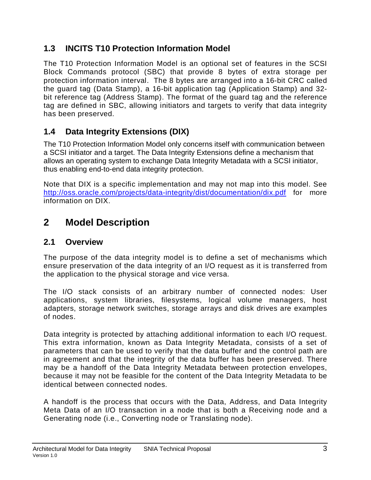#### **1.3 INCITS T10 Protection Information Model**

<span id="page-8-0"></span>The T10 Protection Information Model is an optional set of features in the SCSI Block Commands protocol (SBC) that provide 8 bytes of extra storage per protection information interval. The 8 bytes are arranged into a 16-bit CRC called the guard tag (Data Stamp), a 16-bit application tag (Application Stamp) and 32 bit reference tag (Address Stamp). The format of the guard tag and the reference tag are defined in SBC, allowing initiators and targets to verify that data integrity has been preserved.

### **1.4 Data Integrity Extensions (DIX)**

<span id="page-8-1"></span>The T10 Protection Information Model only concerns itself with communication between a SCSI initiator and a target. The Data Integrity Extensions define a mechanism that allows an operating system to exchange Data Integrity Metadata with a SCSI initiator, thus enabling end-to-end data integrity protection.

Note that DIX is a specific implementation and may not map into this model. See <http://oss.oracle.com/projects/data-integrity/dist/documentation/dix.pdf> for more information on DIX.

## **2 Model Description**

#### <span id="page-8-4"></span><span id="page-8-2"></span>**2.1 Overview**

<span id="page-8-3"></span>The purpose of the data integrity model is to define a set of mechanisms which ensure preservation of the data integrity of an I/O request as it is transferred from the application to the physical storage and vice versa.

The I/O stack consists of an arbitrary number of connected nodes: User applications, system libraries, filesystems, logical volume managers, host adapters, storage network switches, storage arrays and disk drives are examples of nodes.

Data integrity is protected by attaching additional information to each I/O request. This extra information, known as Data Integrity Metadata, consists of a set of parameters that can be used to verify that the data buffer and the control path are in agreement and that the integrity of the data buffer has been preserved. There may be a handoff of the Data Integrity Metadata between protection envelopes, because it may not be feasible for the content of the Data Integrity Metadata to be identical between connected nodes.

A handoff is the process that occurs with the Data, Address, and Data Integrity Meta Data of an I/O transaction in a node that is both a Receiving node and a Generating node (i.e., Converting node or Translating node).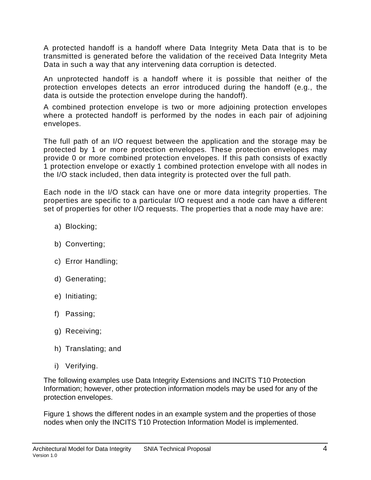A protected handoff is a handoff where Data Integrity Meta Data that is to be transmitted is generated before the validation of the received Data Integrity Meta Data in such a way that any intervening data corruption is detected.

An unprotected handoff is a handoff where it is possible that neither of the protection envelopes detects an error introduced during the handoff (e.g., the data is outside the protection envelope during the handoff).

A combined protection envelope is two or more adjoining protection envelopes where a protected handoff is performed by the nodes in each pair of adjoining envelopes.

The full path of an I/O request between the application and the storage may be protected by 1 or more protection envelopes. These protection envelopes may provide 0 or more combined protection envelopes. If this path consists of exactly 1 protection envelope or exactly 1 combined protection envelope with all nodes in the I/O stack included, then data integrity is protected over the full path.

Each node in the I/O stack can have one or more data integrity properties. The properties are specific to a particular I/O request and a node can have a different set of properties for other I/O requests. The properties that a node may have are:

- a) Blocking;
- b) Converting;
- c) Error Handling;
- d) Generating;
- e) Initiating;
- f) Passing;
- g) Receiving;
- h) Translating; and
- i) Verifying.

The following examples use Data Integrity Extensions and INCITS T10 Protection Information; however, other protection information models may be used for any of the protection envelopes.

[Figure 1](#page-10-0) shows the different nodes in an example system and the properties of those nodes when only the INCITS T10 Protection Information Model is implemented.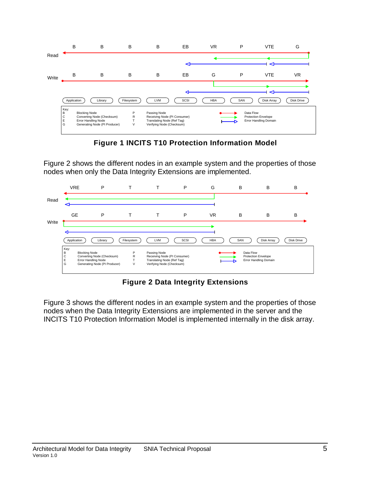

**Figure 1 INCITS T10 Protection Information Model**

<span id="page-10-0"></span>[Figure 2](#page-10-1) shows the different nodes in an example system and the properties of those nodes when only the Data Integrity Extensions are implemented.



**Figure 2 Data Integrity Extensions**

<span id="page-10-1"></span>[Figure 3](#page-11-2) shows the different nodes in an example system and the properties of those nodes when the Data Integrity Extensions are implemented in the server and the INCITS T10 Protection Information Model is implemented internally in the disk array.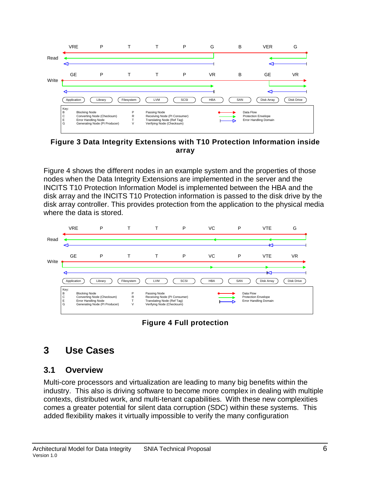

<span id="page-11-2"></span>**Figure 3 Data Integrity Extensions with T10 Protection Information inside array**

[Figure](#page-11-3) 4 shows the different nodes in an example system and the properties of those nodes when the Data Integrity Extensions are implemented in the server and the INCITS T10 Protection Information Model is implemented between the HBA and the disk array and the INCITS T10 Protection information is passed to the disk drive by the disk array controller. This provides protection from the application to the physical media where the data is stored.



**Figure 4 Full protection**

## <span id="page-11-3"></span>**3 Use Cases**

#### <span id="page-11-0"></span>**3.1 Overview**

<span id="page-11-1"></span>Multi-core processors and virtualization are leading to many big benefits within the industry. This also is driving software to become more complex in dealing with multiple contexts, distributed work, and multi-tenant capabilities. With these new complexities comes a greater potential for silent data corruption (SDC) within these systems. This added flexibility makes it virtually impossible to verify the many configuration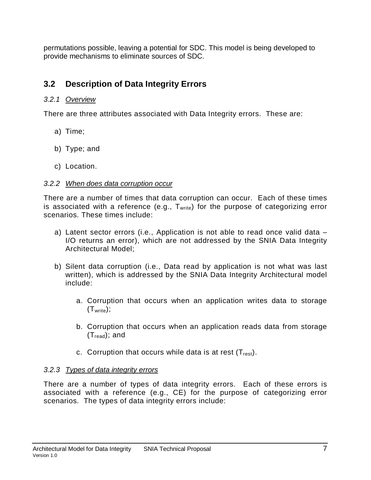permutations possible, leaving a potential for SDC. This model is being developed to provide mechanisms to eliminate sources of SDC.

## **3.2 Description of Data Integrity Errors**

#### *3.2.1 Overview*

<span id="page-12-0"></span>There are three attributes associated with Data Integrity errors. These are:

- a) Time;
- b) Type; and
- c) Location.

#### *3.2.2 When does data corruption occur*

There are a number of times that data corruption can occur. Each of these times is associated with a reference (e.g.,  $T_{\text{write}}$ ) for the purpose of categorizing error scenarios. These times include:

- a) Latent sector errors (i.e., Application is not able to read once valid data I/O returns an error), which are not addressed by the SNIA Data Integrity Architectural Model;
- b) Silent data corruption (i.e., Data read by application is not what was last written), which is addressed by the SNIA Data Integrity Architectural model include:
	- a. Corruption that occurs when an application writes data to storage  $(T_{\text{write}})$ ;
	- b. Corruption that occurs when an application reads data from storage  $(T_{read})$ ; and
	- c. Corruption that occurs while data is at rest  $(T_{rest})$ .

#### *3.2.3 Types of data integrity errors*

There are a number of types of data integrity errors. Each of these errors is associated with a reference (e.g., CE) for the purpose of categorizing error scenarios. The types of data integrity errors include: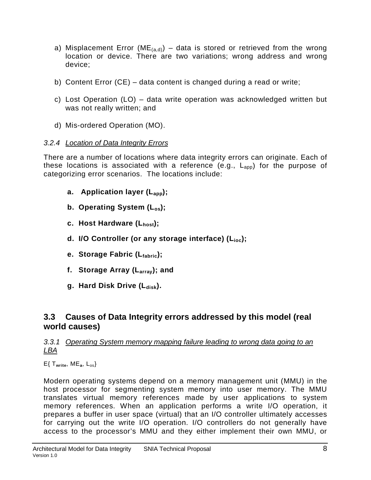- a) Misplacement Error (ME<sub>(a,d)</sub>) data is stored or retrieved from the wrong location or device. There are two variations; wrong address and wrong device;
- b) Content Error (CE) data content is changed during a read or write;
- c) Lost Operation (LO) data write operation was acknowledged written but was not really written; and
- d) Mis-ordered Operation (MO).

#### *3.2.4 Location of Data Integrity Errors*

There are a number of locations where data integrity errors can originate. Each of these locations is associated with a reference (e.g.,  $L_{app}$ ) for the purpose of categorizing error scenarios. The locations include:

- **a. Application layer (Lapp);**
- **b. Operating System (Los);**
- **c. Host Hardware (Lhost);**
- **d. I/O Controller (or any storage interface) (Lioc);**
- **e. Storage Fabric (Lfabric);**
- **f. Storage Array (Larray); and**
- **g.** Hard Disk Drive (L<sub>disk</sub>).

#### **3.3 Causes of Data Integrity errors addressed by this model (real world causes)**

#### <span id="page-13-1"></span><span id="page-13-0"></span>*3.3.1 Operating System memory mapping failure leading to wrong data going to an LBA*

E{ T**write**, ME**a**, Los}

Modern operating systems depend on a memory management unit (MMU) in the host processor for segmenting system memory into user memory. The MMU translates virtual memory references made by user applications to system memory references. When an application performs a write I/O operation, it prepares a buffer in user space (virtual) that an I/O controller ultimately accesses for carrying out the write I/O operation. I/O controllers do not generally have access to the processor's MMU and they either implement their own MMU, or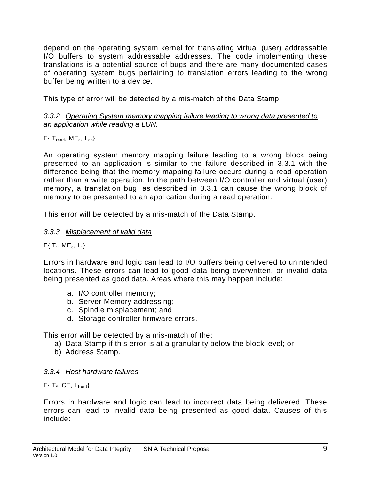depend on the operating system kernel for translating virtual (user) addressable I/O buffers to system addressable addresses. The code implementing these translations is a potential source of bugs and there are many documented cases of operating system bugs pertaining to translation errors leading to the wrong buffer being written to a device.

This type of error will be detected by a mis-match of the Data Stamp.

#### *3.3.2 Operating System memory mapping failure leading to wrong data presented to an application while reading a LUN.*

#### $E\{$  T<sub>read</sub>, ME<sub>d</sub>,  $L_{os}$ }

An operating system memory mapping failure leading to a wrong block being presented to an application is similar to the failure described in [3.3.1](#page-13-1) with the difference being that the memory mapping failure occurs during a read operation rather than a write operation. In the path between I/O controller and virtual (user) memory, a translation bug, as described in 3.3.1 can cause the wrong block of memory to be presented to an application during a read operation.

This error will be detected by a mis-match of the Data Stamp.

#### *3.3.3 Misplacement of valid data*

#### $E\{T^*, ME_d, L^*\}$

Errors in hardware and logic can lead to I/O buffers being delivered to unintended locations. These errors can lead to good data being overwritten, or invalid data being presented as good data. Areas where this may happen include:

- a. I/O controller memory;
- b. Server Memory addressing;
- c. Spindle misplacement; and
- d. Storage controller firmware errors.

This error will be detected by a mis-match of the:

- a) Data Stamp if this error is at a granularity below the block level; or
- b) Address Stamp.

#### *3.3.4 Host hardware failures*

E{ T**\***, CE, L**host**}

Errors in hardware and logic can lead to incorrect data being delivered. These errors can lead to invalid data being presented as good data. Causes of this include: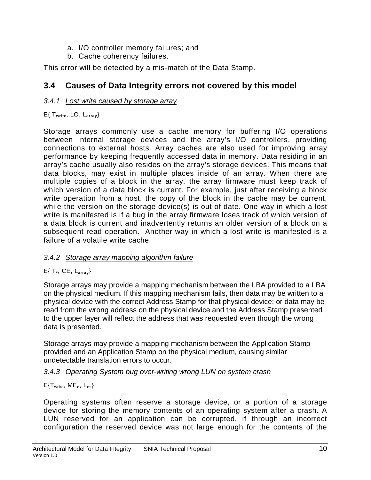- a. I/O controller memory failures; and
- b. Cache coherency failures.

This error will be detected by a mis-match of the Data Stamp.

#### **3.4 Causes of Data Integrity errors not covered by this model**

#### *3.4.1 Lost write caused by storage array*

#### <span id="page-15-0"></span>E{ T**write**, LO, L**array**}

Storage arrays commonly use a cache memory for buffering I/O operations between internal storage devices and the array's I/O controllers, providing connections to external hosts. Array caches are also used for improving array performance by keeping frequently accessed data in memory. Data residing in an array's cache usually also resides on the array's storage devices. This means that data blocks, may exist in multiple places inside of an array. When there are multiple copies of a block in the array, the array firmware must keep track of which version of a data block is current. For example, just after receiving a block write operation from a host, the copy of the block in the cache may be current, while the version on the storage device(s) is out of date. One way in which a lost write is manifested is if a bug in the array firmware loses track of which version of a data block is current and inadvertently returns an older version of a block on a subsequent read operation. Another way in which a lost write is manifested is a failure of a volatile write cache.

#### *3.4.2 Storage array mapping algorithm failure*

#### E{ T**\***, CE, L**array**}

Storage arrays may provide a mapping mechanism between the LBA provided to a LBA on the physical medium. If this mapping mechanism fails, then data may be written to a physical device with the correct Address Stamp for that physical device; or data may be read from the wrong address on the physical device and the Address Stamp presented to the upper layer will reflect the address that was requested even though the wrong data is presented.

Storage arrays may provide a mapping mechanism between the Application Stamp provided and an Application Stamp on the physical medium, causing similar undetectable translation errors to occur.

#### *3.4.3 Operating System bug over-writing wrong LUN on system crash*

#### $E\{T_{write}, ME_d, L_{os}\}$

Operating systems often reserve a storage device, or a portion of a storage device for storing the memory contents of an operating system after a crash. A LUN reserved for an application can be corrupted, if through an incorrect configuration the reserved device was not large enough for the contents of the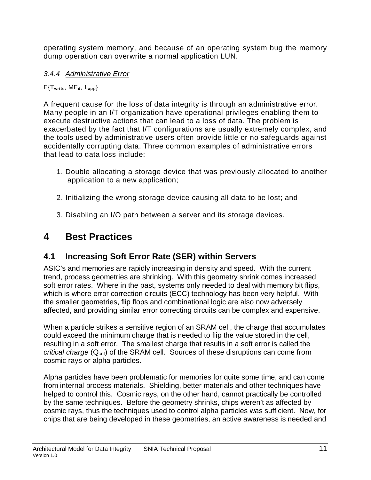operating system memory, and because of an operating system bug the memory dump operation can overwrite a normal application LUN.

#### *3.4.4 Administrative Error*

#### E{T**write**, ME**d**, L**app**}

A frequent cause for the loss of data integrity is through an administrative error. Many people in an I/T organization have operational privileges enabling them to execute destructive actions that can lead to a loss of data. The problem is exacerbated by the fact that I/T configurations are usually extremely complex, and the tools used by administrative users often provide little or no safeguards against accidentally corrupting data. Three common examples of administrative errors that lead to data loss include:

- 1. Double allocating a storage device that was previously allocated to another application to a new application;
- 2. Initializing the wrong storage device causing all data to be lost; and
- 3. Disabling an I/O path between a server and its storage devices.

## **4 Best Practices**

## <span id="page-16-0"></span>**4.1 Increasing Soft Error Rate (SER) within Servers**

<span id="page-16-1"></span>ASIC's and memories are rapidly increasing in density and speed. With the current trend, process geometries are shrinking. With this geometry shrink comes increased soft error rates. Where in the past, systems only needed to deal with memory bit flips, which is where error correction circuits (ECC) technology has been very helpful. With the smaller geometries, flip flops and combinational logic are also now adversely affected, and providing similar error correcting circuits can be complex and expensive.

When a particle strikes a sensitive region of an SRAM cell, the charge that accumulates could exceed the minimum charge that is needed to flip the value stored in the cell, resulting in a soft error. The smallest charge that results in a soft error is called the *critical charge* (Q<sub>crit</sub>) of the SRAM cell. Sources of these disruptions can come from cosmic rays or alpha particles.

Alpha particles have been problematic for memories for quite some time, and can come from internal process materials. Shielding, better materials and other techniques have helped to control this. Cosmic rays, on the other hand, cannot practically be controlled by the same techniques. Before the geometry shrinks, chips weren't as affected by cosmic rays, thus the techniques used to control alpha particles was sufficient. Now, for chips that are being developed in these geometries, an active awareness is needed and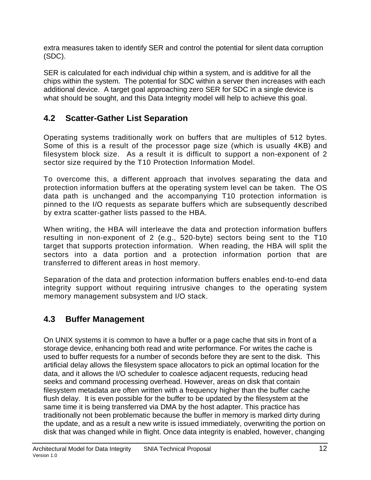extra measures taken to identify SER and control the potential for silent data corruption (SDC).

SER is calculated for each individual chip within a system, and is additive for all the chips within the system. The potential for SDC within a server then increases with each additional device. A target goal approaching zero SER for SDC in a single device is what should be sought, and this Data Integrity model will help to achieve this goal.

### **4.2 Scatter-Gather List Separation**

<span id="page-17-0"></span>Operating systems traditionally work on buffers that are multiples of 512 bytes. Some of this is a result of the processor page size (which is usually 4KB) and filesystem block size. As a result it is difficult to support a non-exponent of 2 sector size required by the T10 Protection Information Model.

To overcome this, a different approach that involves separating the data and protection information buffers at the operating system level can be taken. The OS data path is unchanged and the accompanying T10 protection information is pinned to the I/O requests as separate buffers which are subsequently described by extra scatter-gather lists passed to the HBA.

When writing, the HBA will interleave the data and protection information buffers resulting in non-exponent of 2 (e.g., 520-byte) sectors being sent to the T10 target that supports protection information. When reading, the HBA will split the sectors into a data portion and a protection information portion that are transferred to different areas in host memory.

Separation of the data and protection information buffers enables end-to-end data integrity support without requiring intrusive changes to the operating system memory management subsystem and I/O stack.

## **4.3 Buffer Management**

<span id="page-17-1"></span>On UNIX systems it is common to have a buffer or a page cache that sits in front of a storage device, enhancing both read and write performance. For writes the cache is used to buffer requests for a number of seconds before they are sent to the disk. This artificial delay allows the filesystem space allocators to pick an optimal location for the data, and it allows the I/O scheduler to coalesce adjacent requests, reducing head seeks and command processing overhead. However, areas on disk that contain filesystem metadata are often written with a frequency higher than the buffer cache flush delay. It is even possible for the buffer to be updated by the filesystem at the same time it is being transferred via DMA by the host adapter. This practice has traditionally not been problematic because the buffer in memory is marked dirty during the update, and as a result a new write is issued immediately, overwriting the portion on disk that was changed while in flight. Once data integrity is enabled, however, changing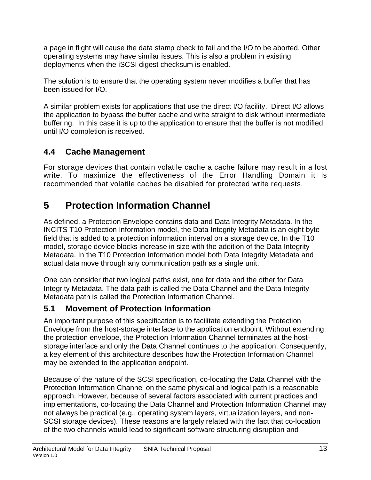a page in flight will cause the data stamp check to fail and the I/O to be aborted. Other operating systems may have similar issues. This is also a problem in existing deployments when the iSCSI digest checksum is enabled.

The solution is to ensure that the operating system never modifies a buffer that has been issued for I/O.

A similar problem exists for applications that use the direct I/O facility. Direct I/O allows the application to bypass the buffer cache and write straight to disk without intermediate buffering. In this case it is up to the application to ensure that the buffer is not modified until I/O completion is received.

## **4.4 Cache Management**

<span id="page-18-0"></span>For storage devices that contain volatile cache a cache failure may result in a lost write. To maximize the effectiveness of the Error Handling Domain it is recommended that volatile caches be disabled for protected write requests.

## **5 Protection Information Channel**

<span id="page-18-1"></span>As defined, a Protection Envelope contains data and Data Integrity Metadata. In the INCITS T10 Protection Information model, the Data Integrity Metadata is an eight byte field that is added to a protection information interval on a storage device. In the T10 model, storage device blocks increase in size with the addition of the Data Integrity Metadata. In the T10 Protection Information model both Data Integrity Metadata and actual data move through any communication path as a single unit.

One can consider that two logical paths exist, one for data and the other for Data Integrity Metadata. The data path is called the Data Channel and the Data Integrity Metadata path is called the Protection Information Channel.

### **5.1 Movement of Protection Information**

<span id="page-18-2"></span>An important purpose of this specification is to facilitate extending the Protection Envelope from the host-storage interface to the application endpoint. Without extending the protection envelope, the Protection Information Channel terminates at the hoststorage interface and only the Data Channel continues to the application. Consequently, a key element of this architecture describes how the Protection Information Channel may be extended to the application endpoint.

Because of the nature of the SCSI specification, co-locating the Data Channel with the Protection Information Channel on the same physical and logical path is a reasonable approach. However, because of several factors associated with current practices and implementations, co-locating the Data Channel and Protection Information Channel may not always be practical (e.g., operating system layers, virtualization layers, and non-SCSI storage devices). These reasons are largely related with the fact that co-location of the two channels would lead to significant software structuring disruption and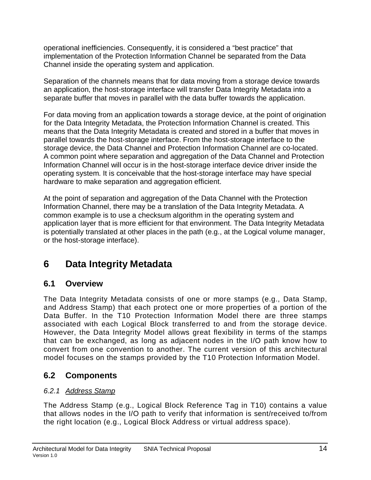operational inefficiencies. Consequently, it is considered a "best practice" that implementation of the Protection Information Channel be separated from the Data Channel inside the operating system and application.

Separation of the channels means that for data moving from a storage device towards an application, the host-storage interface will transfer Data Integrity Metadata into a separate buffer that moves in parallel with the data buffer towards the application.

For data moving from an application towards a storage device, at the point of origination for the Data Integrity Metadata, the Protection Information Channel is created. This means that the Data Integrity Metadata is created and stored in a buffer that moves in parallel towards the host-storage interface. From the host-storage interface to the storage device, the Data Channel and Protection Information Channel are co-located. A common point where separation and aggregation of the Data Channel and Protection Information Channel will occur is in the host-storage interface device driver inside the operating system. It is conceivable that the host-storage interface may have special hardware to make separation and aggregation efficient.

At the point of separation and aggregation of the Data Channel with the Protection Information Channel, there may be a translation of the Data Integrity Metadata. A common example is to use a checksum algorithm in the operating system and application layer that is more efficient for that environment. The Data Integrity Metadata is potentially translated at other places in the path (e.g., at the Logical volume manager, or the host-storage interface).

## **6 Data Integrity Metadata**

#### <span id="page-19-0"></span>**6.1 Overview**

<span id="page-19-1"></span>The Data Integrity Metadata consists of one or more stamps (e.g., Data Stamp, and Address Stamp) that each protect one or more properties of a portion of the Data Buffer. In the T10 Protection Information Model there are three stamps associated with each Logical Block transferred to and from the storage device. However, the Data Integrity Model allows great flexibility in terms of the stamps that can be exchanged, as long as adjacent nodes in the I/O path know how to convert from one convention to another. The current version of this architectural model focuses on the stamps provided by the T10 Protection Information Model.

#### **6.2 Components**

#### *6.2.1 Address Stamp*

<span id="page-19-2"></span>The Address Stamp (e.g., Logical Block Reference Tag in T10) contains a value that allows nodes in the I/O path to verify that information is sent/received to/from the right location (e.g., Logical Block Address or virtual address space).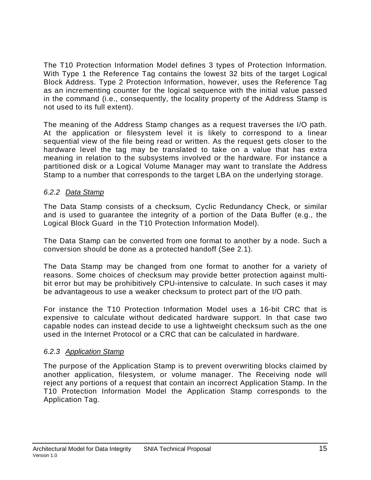The T10 Protection Information Model defines 3 types of Protection Information. With Type 1 the Reference Tag contains the lowest 32 bits of the target Logical Block Address. Type 2 Protection Information, however, uses the Reference Tag as an incrementing counter for the logical sequence with the initial value passed in the command (i.e., consequently, the locality property of the Address Stamp is not used to its full extent).

The meaning of the Address Stamp changes as a request traverses the I/O path. At the application or filesystem level it is likely to correspond to a linear sequential view of the file being read or written. As the request gets closer to the hardware level the tag may be translated to take on a value that has extra meaning in relation to the subsystems involved or the hardware. For instance a partitioned disk or a Logical Volume Manager may want to translate the Address Stamp to a number that corresponds to the target LBA on the underlying storage.

#### *6.2.2 Data Stamp*

The Data Stamp consists of a checksum, Cyclic Redundancy Check, or similar and is used to guarantee the integrity of a portion of the Data Buffer (e.g., the Logical Block Guard in the T10 Protection Information Model).

The Data Stamp can be converted from one format to another by a node. Such a conversion should be done as a protected handoff (See [2.1\)](#page-8-4).

The Data Stamp may be changed from one format to another for a variety of reasons. Some choices of checksum may provide better protection against multibit error but may be prohibitively CPU-intensive to calculate. In such cases it may be advantageous to use a weaker checksum to protect part of the I/O path.

For instance the T10 Protection Information Model uses a 16-bit CRC that is expensive to calculate without dedicated hardware support. In that case two capable nodes can instead decide to use a lightweight checksum such as the one used in the Internet Protocol or a CRC that can be calculated in hardware.

#### *6.2.3 Application Stamp*

The purpose of the Application Stamp is to prevent overwriting blocks claimed by another application, filesystem, or volume manager. The Receiving node will reject any portions of a request that contain an incorrect Application Stamp. In the T10 Protection Information Model the Application Stamp corresponds to the Application Tag.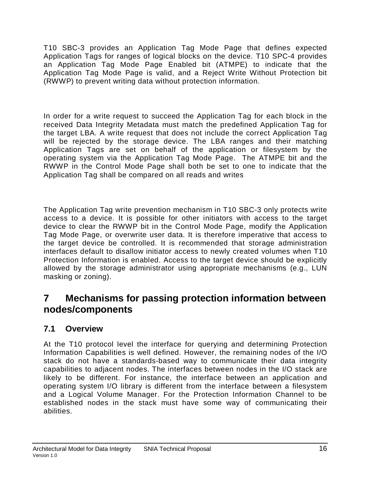T10 SBC-3 provides an Application Tag Mode Page that defines expected Application Tags for ranges of logical blocks on the device. T10 SPC-4 provides an Application Tag Mode Page Enabled bit (ATMPE) to indicate that the Application Tag Mode Page is valid, and a Reject Write Without Protection bit (RWWP) to prevent writing data without protection information.

In order for a write request to succeed the Application Tag for each block in the received Data Integrity Metadata must match the predefined Application Tag for the target LBA. A write request that does not include the correct Application Tag will be rejected by the storage device. The LBA ranges and their matching Application Tags are set on behalf of the application or filesystem by the operating system via the Application Tag Mode Page. The ATMPE bit and the RWWP in the Control Mode Page shall both be set to one to indicate that the Application Tag shall be compared on all reads and writes

The Application Tag write prevention mechanism in T10 SBC-3 only protects write access to a device. It is possible for other initiators with access to the target device to clear the RWWP bit in the Control Mode Page, modify the Application Tag Mode Page, or overwrite user data. It is therefore imperative that access to the target device be controlled. It is recommended that storage administration interfaces default to disallow initiator access to newly created volumes when T10 Protection Information is enabled. Access to the target device should be explicitly allowed by the storage administrator using appropriate mechanisms (e.g., LUN masking or zoning).

## **7 Mechanisms for passing protection information between nodes/components**

### <span id="page-21-0"></span>**7.1 Overview**

<span id="page-21-1"></span>At the T10 protocol level the interface for querying and determining Protection Information Capabilities is well defined. However, the remaining nodes of the I/O stack do not have a standards-based way to communicate their data integrity capabilities to adjacent nodes. The interfaces between nodes in the I/O stack are likely to be different. For instance, the interface between an application and operating system I/O library is different from the interface between a filesystem and a Logical Volume Manager. For the Protection Information Channel to be established nodes in the stack must have some way of communicating their abilities.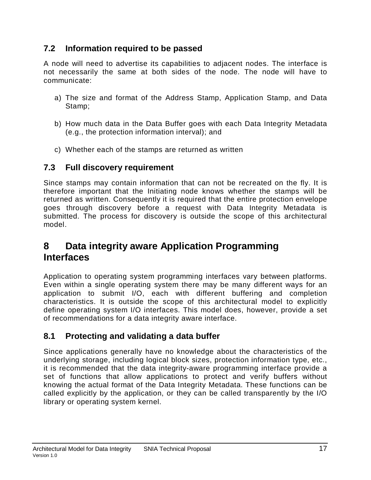#### **7.2 Information required to be passed**

<span id="page-22-0"></span>A node will need to advertise its capabilities to adjacent nodes. The interface is not necessarily the same at both sides of the node. The node will have to communicate:

- a) The size and format of the Address Stamp, Application Stamp, and Data Stamp;
- b) How much data in the Data Buffer goes with each Data Integrity Metadata (e.g., the protection information interval); and
- c) Whether each of the stamps are returned as written

#### **7.3 Full discovery requirement**

<span id="page-22-1"></span>Since stamps may contain information that can not be recreated on the fly. It is therefore important that the Initiating node knows whether the stamps will be returned as written. Consequently it is required that the entire protection envelope goes through discovery before a request with Data Integrity Metadata is submitted. The process for discovery is outside the scope of this architectural model.

## **8 Data integrity aware Application Programming Interfaces**

<span id="page-22-2"></span>Application to operating system programming interfaces vary between platforms. Even within a single operating system there may be many different ways for an application to submit I/O, each with different buffering and completion characteristics. It is outside the scope of this architectural model to explicitly define operating system I/O interfaces. This model does, however, provide a set of recommendations for a data integrity aware interface.

#### **8.1 Protecting and validating a data buffer**

<span id="page-22-3"></span>Since applications generally have no knowledge about the characteristics of the underlying storage, including logical block sizes, protection information type, etc., it is recommended that the data integrity-aware programming interface provide a set of functions that allow applications to protect and verify buffers without knowing the actual format of the Data Integrity Metadata. These functions can be called explicitly by the application, or they can be called transparently by the I/O library or operating system kernel.